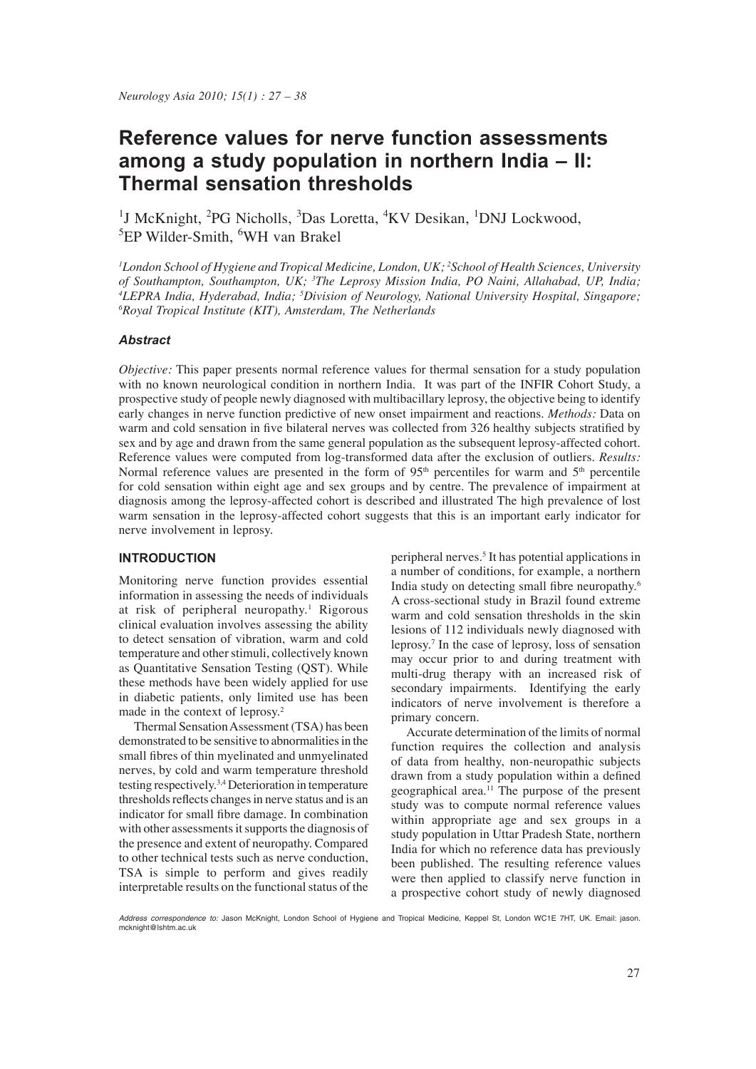# **Reference values for nerve function assessments among a study population in northern India – II: Thermal sensation thresholds**

<sup>1</sup>J McKnight, <sup>2</sup>PG Nicholls, <sup>3</sup>Das Loretta, <sup>4</sup>KV Desikan, <sup>1</sup>DNJ Lockwood, <sup>5</sup>EP Wilder-Smith, <sup>6</sup>WH van Brakel

*1 London School of Hygiene and Tropical Medicine, London, UK; <sup>2</sup> School of Health Sciences, University of Southampton, Southampton, UK; 3 The Leprosy Mission India, PO Naini, Allahabad, UP, India; 4* <sup>4</sup>LEPRA India, Hyderabad, India; <sup>5</sup>Division of Neurology, National University Hospital, Singapore; *6Royal Tronical Institute (KIT)* Amsterdam The Netherlands *Royal Tropical Institute (KIT), Amsterdam, The Netherlands*

## *Abstract*

*Objective:* This paper presents normal reference values for thermal sensation for a study population with no known neurological condition in northern India. It was part of the INFIR Cohort Study, a prospective study of people newly diagnosed with multibacillary leprosy, the objective being to identify early changes in nerve function predictive of new onset impairment and reactions. *Methods:* Data on warm and cold sensation in five bilateral nerves was collected from 326 healthy subjects stratified by sex and by age and drawn from the same general population as the subsequent leprosy-affected cohort. Reference values were computed from log-transformed data after the exclusion of outliers. *Results:* Normal reference values are presented in the form of  $95<sup>th</sup>$  percentiles for warm and  $5<sup>th</sup>$  percentile for cold sensation within eight age and sex groups and by centre. The prevalence of impairment at diagnosis among the leprosy-affected cohort is described and illustrated The high prevalence of lost warm sensation in the leprosy-affected cohort suggests that this is an important early indicator for nerve involvement in leprosy.

## **INTRODUCTION**

Monitoring nerve function provides essential information in assessing the needs of individuals at risk of peripheral neuropathy.<sup>1</sup> Rigorous clinical evaluation involves assessing the ability to detect sensation of vibration, warm and cold temperature and other stimuli, collectively known as Quantitative Sensation Testing (QST). While these methods have been widely applied for use in diabetic patients, only limited use has been made in the context of leprosy.<sup>2</sup>

 Thermal Sensation Assessment (TSA) has been demonstrated to be sensitive to abnormalities in the small fibres of thin myelinated and unmyelinated nerves, by cold and warm temperature threshold testing respectively.3,4 Deterioration in temperature thresholds reflects changes in nerve status and is an indicator for small fibre damage. In combination with other assessments it supports the diagnosis of the presence and extent of neuropathy. Compared to other technical tests such as nerve conduction, TSA is simple to perform and gives readily interpretable results on the functional status of the

peripheral nerves.<sup>5</sup> It has potential applications in a number of conditions, for example, a northern India study on detecting small fibre neuropathy.<sup>6</sup> A cross-sectional study in Brazil found extreme warm and cold sensation thresholds in the skin lesions of 112 individuals newly diagnosed with leprosy.7 In the case of leprosy, loss of sensation may occur prior to and during treatment with multi-drug therapy with an increased risk of secondary impairments. Identifying the early indicators of nerve involvement is therefore a primary concern.

 Accurate determination of the limits of normal function requires the collection and analysis of data from healthy, non-neuropathic subjects drawn from a study population within a defined geographical area.<sup>11</sup> The purpose of the present study was to compute normal reference values within appropriate age and sex groups in a study population in Uttar Pradesh State, northern India for which no reference data has previously been published. The resulting reference values were then applied to classify nerve function in a prospective cohort study of newly diagnosed

*Address correspondence to:* Jason McKnight, London School of Hygiene and Tropical Medicine, Keppel St, London WC1E 7HT, UK. Email: jason. mcknight@lshtm.ac.uk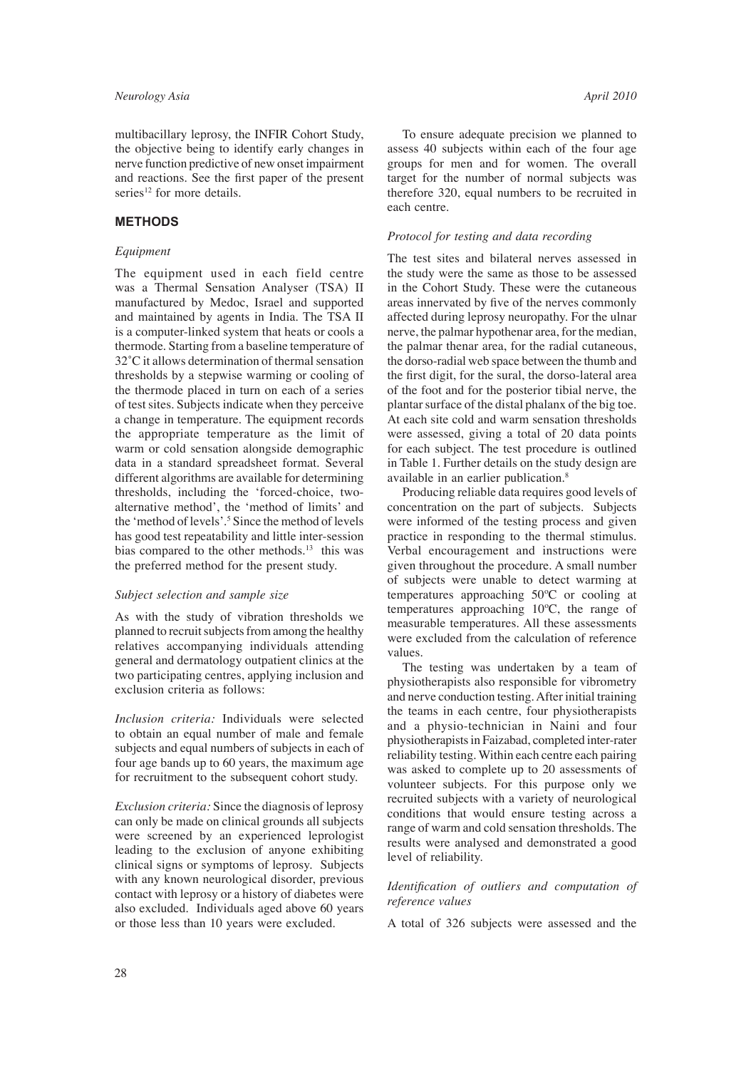multibacillary leprosy, the INFIR Cohort Study, the objective being to identify early changes in nerve function predictive of new onset impairment and reactions. See the first paper of the present series $12$  for more details.

## **METHODS**

#### *Equipment*

The equipment used in each field centre was a Thermal Sensation Analyser (TSA) II manufactured by Medoc, Israel and supported and maintained by agents in India. The TSA II is a computer-linked system that heats or cools a thermode. Starting from a baseline temperature of 32˚C it allows determination of thermal sensation thresholds by a stepwise warming or cooling of the thermode placed in turn on each of a series of test sites. Subjects indicate when they perceive a change in temperature. The equipment records the appropriate temperature as the limit of warm or cold sensation alongside demographic data in a standard spreadsheet format. Several different algorithms are available for determining thresholds, including the 'forced-choice, twoalternative method', the 'method of limits' and the 'method of levels'.5 Since the method of levels has good test repeatability and little inter-session bias compared to the other methods.<sup>13</sup> this was the preferred method for the present study.

#### *Subject selection and sample size*

As with the study of vibration thresholds we planned to recruit subjects from among the healthy relatives accompanying individuals attending general and dermatology outpatient clinics at the two participating centres, applying inclusion and exclusion criteria as follows:

*Inclusion criteria:* Individuals were selected to obtain an equal number of male and female subjects and equal numbers of subjects in each of four age bands up to 60 years, the maximum age for recruitment to the subsequent cohort study.

*Exclusion criteria:* Since the diagnosis of leprosy can only be made on clinical grounds all subjects were screened by an experienced leprologist leading to the exclusion of anyone exhibiting clinical signs or symptoms of leprosy. Subjects with any known neurological disorder, previous contact with leprosy or a history of diabetes were also excluded. Individuals aged above 60 years or those less than 10 years were excluded.

 To ensure adequate precision we planned to assess 40 subjects within each of the four age groups for men and for women. The overall target for the number of normal subjects was therefore 320, equal numbers to be recruited in each centre.

#### *Protocol for testing and data recording*

The test sites and bilateral nerves assessed in the study were the same as those to be assessed in the Cohort Study. These were the cutaneous areas innervated by five of the nerves commonly affected during leprosy neuropathy. For the ulnar nerve, the palmar hypothenar area, for the median, the palmar thenar area, for the radial cutaneous, the dorso-radial web space between the thumb and the first digit, for the sural, the dorso-lateral area of the foot and for the posterior tibial nerve, the plantar surface of the distal phalanx of the big toe. At each site cold and warm sensation thresholds were assessed, giving a total of 20 data points for each subject. The test procedure is outlined in Table 1. Further details on the study design are available in an earlier publication.<sup>8</sup>

 Producing reliable data requires good levels of concentration on the part of subjects. Subjects were informed of the testing process and given practice in responding to the thermal stimulus. Verbal encouragement and instructions were given throughout the procedure. A small number of subjects were unable to detect warming at temperatures approaching 50ºC or cooling at temperatures approaching 10ºC, the range of measurable temperatures. All these assessments were excluded from the calculation of reference values.

 The testing was undertaken by a team of physiotherapists also responsible for vibrometry and nerve conduction testing. After initial training the teams in each centre, four physiotherapists and a physio-technician in Naini and four physiotherapists in Faizabad, completed inter-rater reliability testing. Within each centre each pairing was asked to complete up to 20 assessments of volunteer subjects. For this purpose only we recruited subjects with a variety of neurological conditions that would ensure testing across a range of warm and cold sensation thresholds. The results were analysed and demonstrated a good level of reliability.

#### *Identification of outliers and computation of reference values*

A total of 326 subjects were assessed and the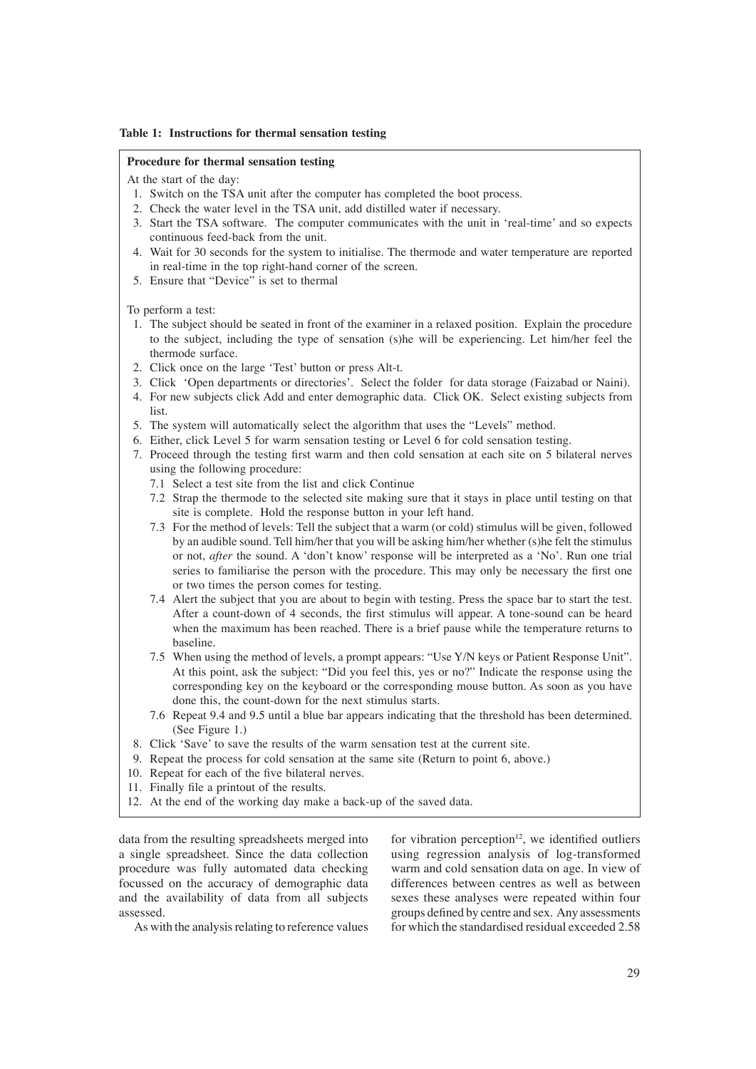#### **Table 1: Instructions for thermal sensation testing**

#### **Procedure for thermal sensation testing**

At the start of the day:

- 1. Switch on the TSA unit after the computer has completed the boot process.
- 2. Check the water level in the TSA unit, add distilled water if necessary.
- 3. Start the TSA software. The computer communicates with the unit in 'real-time' and so expects continuous feed-back from the unit.
- 4. Wait for 30 seconds for the system to initialise. The thermode and water temperature are reported in real-time in the top right-hand corner of the screen.
- 5. Ensure that "Device" is set to thermal

To perform a test:

- 1. The subject should be seated in front of the examiner in a relaxed position. Explain the procedure to the subject, including the type of sensation (s)he will be experiencing. Let him/her feel the thermode surface.
- 2. Click once on the large 'Test' button or press Alt-t.
- 3. Click 'Open departments or directories'. Select the folder for data storage (Faizabad or Naini).
- 4. For new subjects click Add and enter demographic data. Click OK. Select existing subjects from list.
- 5. The system will automatically select the algorithm that uses the "Levels" method.
- 6. Either, click Level 5 for warm sensation testing or Level 6 for cold sensation testing.
- 7. Proceed through the testing first warm and then cold sensation at each site on 5 bilateral nerves using the following procedure:
	- 7.1 Select a test site from the list and click Continue
	- 7.2 Strap the thermode to the selected site making sure that it stays in place until testing on that site is complete. Hold the response button in your left hand.
	- 7.3 For the method of levels: Tell the subject that a warm (or cold) stimulus will be given, followed by an audible sound. Tell him/her that you will be asking him/her whether (s)he felt the stimulus or not, *after* the sound. A 'don't know' response will be interpreted as a 'No'. Run one trial series to familiarise the person with the procedure. This may only be necessary the first one or two times the person comes for testing.
	- 7.4 Alert the subject that you are about to begin with testing. Press the space bar to start the test. After a count-down of 4 seconds, the first stimulus will appear. A tone-sound can be heard when the maximum has been reached. There is a brief pause while the temperature returns to baseline.
	- 7.5 When using the method of levels, a prompt appears: "Use Y/N keys or Patient Response Unit". At this point, ask the subject: "Did you feel this, yes or no?" Indicate the response using the corresponding key on the keyboard or the corresponding mouse button. As soon as you have done this, the count-down for the next stimulus starts.
	- 7.6 Repeat 9.4 and 9.5 until a blue bar appears indicating that the threshold has been determined. (See Figure 1.)
- 8. Click 'Save' to save the results of the warm sensation test at the current site.
- 9. Repeat the process for cold sensation at the same site (Return to point 6, above.)
- 10. Repeat for each of the five bilateral nerves.
- 11. Finally file a printout of the results.
- 12. At the end of the working day make a back-up of the saved data.

data from the resulting spreadsheets merged into a single spreadsheet. Since the data collection procedure was fully automated data checking focussed on the accuracy of demographic data and the availability of data from all subjects assessed.

for vibration perception $12$ , we identified outliers using regression analysis of log-transformed warm and cold sensation data on age. In view of differences between centres as well as between sexes these analyses were repeated within four groups defined by centre and sex. Any assessments for which the standardised residual exceeded 2.58

As with the analysis relating to reference values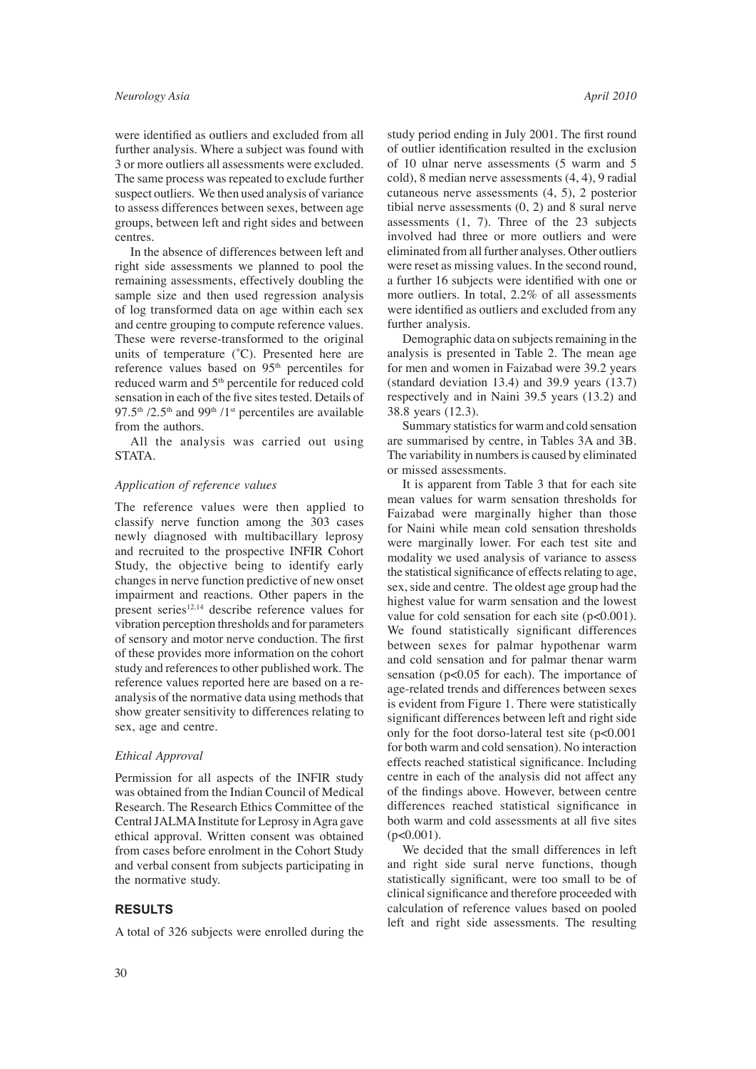were identified as outliers and excluded from all further analysis. Where a subject was found with 3 or more outliers all assessments were excluded. The same process was repeated to exclude further suspect outliers. We then used analysis of variance to assess differences between sexes, between age groups, between left and right sides and between centres.

 In the absence of differences between left and right side assessments we planned to pool the remaining assessments, effectively doubling the sample size and then used regression analysis of log transformed data on age within each sex and centre grouping to compute reference values. These were reverse-transformed to the original units of temperature (˚C). Presented here are reference values based on 95<sup>th</sup> percentiles for reduced warm and 5<sup>th</sup> percentile for reduced cold sensation in each of the five sites tested. Details of 97.5<sup>th</sup> /2.5<sup>th</sup> and 99<sup>th</sup> /1<sup>st</sup> percentiles are available from the authors.

 All the analysis was carried out using STATA.

#### *Application of reference values*

The reference values were then applied to classify nerve function among the 303 cases newly diagnosed with multibacillary leprosy and recruited to the prospective INFIR Cohort Study, the objective being to identify early changes in nerve function predictive of new onset impairment and reactions. Other papers in the present series $12,14$  describe reference values for vibration perception thresholds and for parameters of sensory and motor nerve conduction. The first of these provides more information on the cohort study and references to other published work. The reference values reported here are based on a reanalysis of the normative data using methods that show greater sensitivity to differences relating to sex, age and centre.

## *Ethical Approval*

Permission for all aspects of the INFIR study was obtained from the Indian Council of Medical Research. The Research Ethics Committee of the Central JALMA Institute for Leprosy in Agra gave ethical approval. Written consent was obtained from cases before enrolment in the Cohort Study and verbal consent from subjects participating in the normative study.

## **RESULTS**

A total of 326 subjects were enrolled during the

study period ending in July 2001. The first round of outlier identification resulted in the exclusion of 10 ulnar nerve assessments (5 warm and 5 cold), 8 median nerve assessments (4, 4), 9 radial cutaneous nerve assessments (4, 5), 2 posterior tibial nerve assessments (0, 2) and 8 sural nerve assessments (1, 7). Three of the 23 subjects involved had three or more outliers and were eliminated from all further analyses. Other outliers were reset as missing values. In the second round, a further 16 subjects were identified with one or more outliers. In total, 2.2% of all assessments were identified as outliers and excluded from any further analysis.

 Demographic data on subjects remaining in the analysis is presented in Table 2. The mean age for men and women in Faizabad were 39.2 years (standard deviation 13.4) and 39.9 years (13.7) respectively and in Naini 39.5 years (13.2) and 38.8 years (12.3).

 Summary statistics for warm and cold sensation are summarised by centre, in Tables 3A and 3B. The variability in numbers is caused by eliminated or missed assessments.

 It is apparent from Table 3 that for each site mean values for warm sensation thresholds for Faizabad were marginally higher than those for Naini while mean cold sensation thresholds were marginally lower. For each test site and modality we used analysis of variance to assess the statistical significance of effects relating to age, sex, side and centre. The oldest age group had the highest value for warm sensation and the lowest value for cold sensation for each site  $(p<0.001)$ . We found statistically significant differences between sexes for palmar hypothenar warm and cold sensation and for palmar thenar warm sensation (p<0.05 for each). The importance of age-related trends and differences between sexes is evident from Figure 1. There were statistically significant differences between left and right side only for the foot dorso-lateral test site (p<0.001 for both warm and cold sensation). No interaction effects reached statistical significance. Including centre in each of the analysis did not affect any of the findings above. However, between centre differences reached statistical significance in both warm and cold assessments at all five sites  $(p<0.001)$ .

 We decided that the small differences in left and right side sural nerve functions, though statistically significant, were too small to be of clinical significance and therefore proceeded with calculation of reference values based on pooled left and right side assessments. The resulting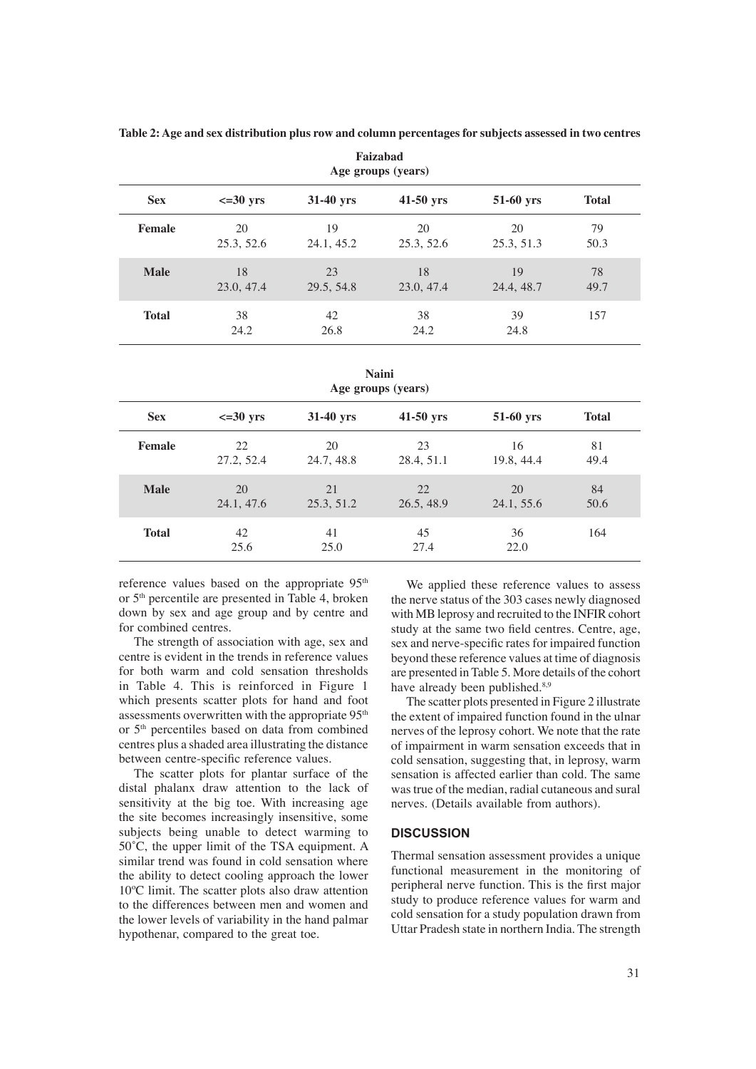|              |                  |                  | т атланда<br>Age groups (years) |                  |              |
|--------------|------------------|------------------|---------------------------------|------------------|--------------|
| <b>Sex</b>   | $\leq 30$ yrs    | $31-40$ yrs      | $41-50$ yrs                     | 51-60 yrs        | <b>Total</b> |
| Female       | 20<br>25.3, 52.6 | 19<br>24.1, 45.2 | 20<br>25.3, 52.6                | 20<br>25.3, 51.3 | 79<br>50.3   |
| <b>Male</b>  | 18<br>23.0, 47.4 | 23<br>29.5, 54.8 | 18<br>23.0, 47.4                | 19<br>24.4, 48.7 | 78<br>49.7   |
| <b>Total</b> | 38<br>24.2       | 42<br>26.8       | 38<br>24.2                      | 39<br>24.8       | 157          |

**Faizabad Table 2: Age and sex distribution plus row and column percentages for subjects assessed in two centres**

**Naini Age groups (years)**

| <b>Sex</b>    | $\leq$ =30 yrs   | 31-40 yrs        | $41-50$ yrs      | 51-60 yrs        | <b>Total</b> |  |
|---------------|------------------|------------------|------------------|------------------|--------------|--|
| <b>Female</b> | 22<br>27.2, 52.4 | 20<br>24.7, 48.8 | 23<br>28.4, 51.1 | 16<br>19.8, 44.4 | 81<br>49.4   |  |
| <b>Male</b>   | 20<br>24.1, 47.6 | 21<br>25.3, 51.2 | 22<br>26.5, 48.9 | 20<br>24.1, 55.6 | 84<br>50.6   |  |
| <b>Total</b>  | 42<br>25.6       | 41<br>25.0       | 45<br>27.4       | 36<br>22.0       | 164          |  |

reference values based on the appropriate 95<sup>th</sup> or 5th percentile are presented in Table 4, broken down by sex and age group and by centre and for combined centres.

 The strength of association with age, sex and centre is evident in the trends in reference values for both warm and cold sensation thresholds in Table 4. This is reinforced in Figure 1 which presents scatter plots for hand and foot assessments overwritten with the appropriate 95<sup>th</sup> or 5th percentiles based on data from combined centres plus a shaded area illustrating the distance between centre-specific reference values.

 The scatter plots for plantar surface of the distal phalanx draw attention to the lack of sensitivity at the big toe. With increasing age the site becomes increasingly insensitive, some subjects being unable to detect warming to 50˚C, the upper limit of the TSA equipment. A similar trend was found in cold sensation where the ability to detect cooling approach the lower 10ºC limit. The scatter plots also draw attention to the differences between men and women and the lower levels of variability in the hand palmar hypothenar, compared to the great toe.

 We applied these reference values to assess the nerve status of the 303 cases newly diagnosed with MB leprosy and recruited to the INFIR cohort study at the same two field centres. Centre, age, sex and nerve-specific rates for impaired function beyond these reference values at time of diagnosis are presented in Table 5. More details of the cohort have already been published.<sup>8,9</sup>

 The scatter plots presented in Figure 2 illustrate the extent of impaired function found in the ulnar nerves of the leprosy cohort. We note that the rate of impairment in warm sensation exceeds that in cold sensation, suggesting that, in leprosy, warm sensation is affected earlier than cold. The same was true of the median, radial cutaneous and sural nerves. (Details available from authors).

#### **DISCUSSION**

Thermal sensation assessment provides a unique functional measurement in the monitoring of peripheral nerve function. This is the first major study to produce reference values for warm and cold sensation for a study population drawn from Uttar Pradesh state in northern India. The strength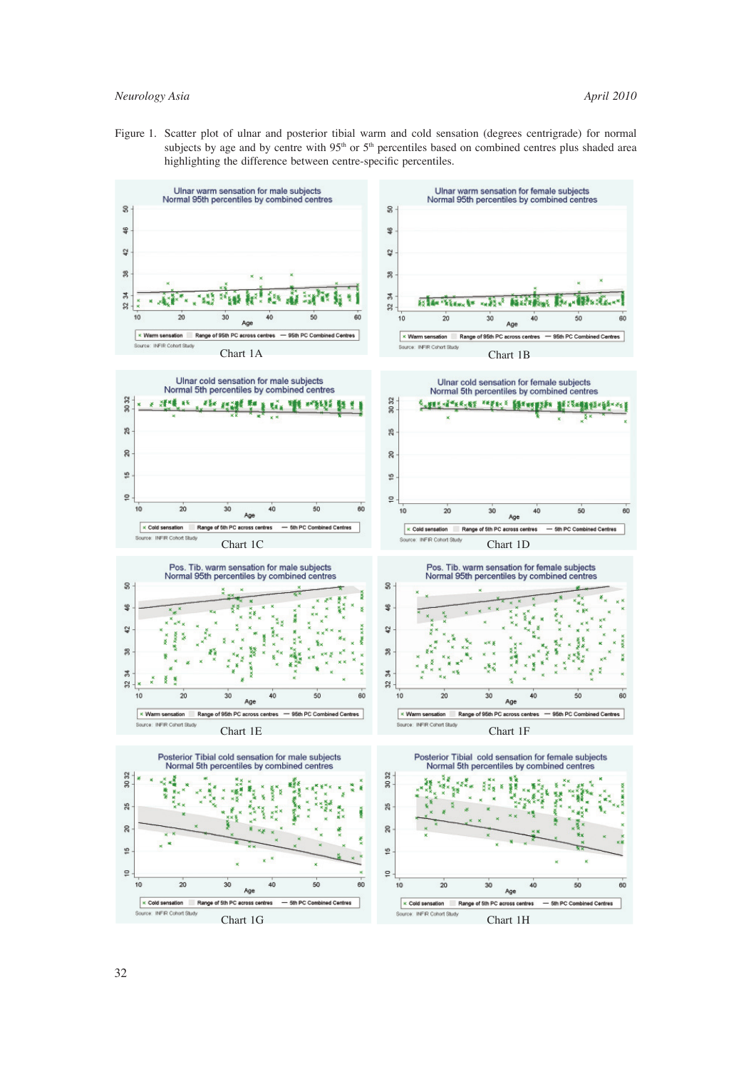## *Neurology Asia April 2010*

Figure 1. Scatter plot of ulnar and posterior tibial warm and cold sensation (degrees centrigrade) for normal subjects by age and by centre with 95<sup>th</sup> or 5<sup>th</sup> percentiles based on combined centres plus shaded area highlighting the difference between centre-specific percentiles.

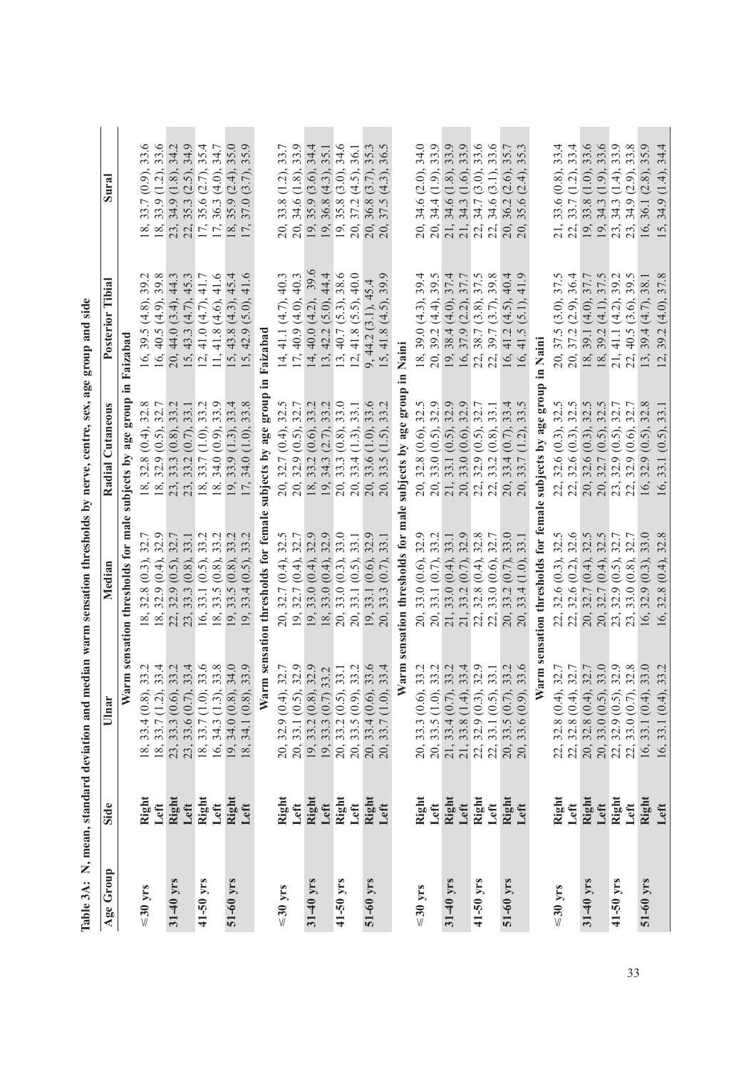|               |               |                                                                                                                                                                               |                                                                                                                                                                                                | Table 3A: N, mean, standard deviation and median warm sensation thresholds by nerve, centre, sex, age group and side                                                                                    |                                                                                                                                                      |                                                                                                                                                                                                                                                                                                                                                                                                                                      |
|---------------|---------------|-------------------------------------------------------------------------------------------------------------------------------------------------------------------------------|------------------------------------------------------------------------------------------------------------------------------------------------------------------------------------------------|---------------------------------------------------------------------------------------------------------------------------------------------------------------------------------------------------------|------------------------------------------------------------------------------------------------------------------------------------------------------|--------------------------------------------------------------------------------------------------------------------------------------------------------------------------------------------------------------------------------------------------------------------------------------------------------------------------------------------------------------------------------------------------------------------------------------|
| Age Group     | Side          | Ulnar                                                                                                                                                                         |                                                                                                                                                                                                | $C$ utan $e$ ous<br>Radial                                                                                                                                                                              | Tibia<br>Posterior                                                                                                                                   | Sural                                                                                                                                                                                                                                                                                                                                                                                                                                |
|               |               | ゙                                                                                                                                                                             | arm sensation thresholds for male                                                                                                                                                              | dno.18<br>subjects by age                                                                                                                                                                               | Faizabad                                                                                                                                             |                                                                                                                                                                                                                                                                                                                                                                                                                                      |
| $\leq$ 30 yrs | Right         |                                                                                                                                                                               |                                                                                                                                                                                                |                                                                                                                                                                                                         | $(4.8)$ ,                                                                                                                                            |                                                                                                                                                                                                                                                                                                                                                                                                                                      |
|               | Left          | $), 33.2$<br>$), 33.4$<br>18, 33.4 $(0.8)$ ,<br>18, 33.7 $(1.2)$ ,                                                                                                            | $(0.3), 32.7$<br>$(0.4), 32.9$<br>$(0.5), 32.7$<br>$(0.5), 32.7$<br>$(0.8), 33.1$<br>$(0.5), 33.2$<br>$(0.8), 33.2$<br>18, 32.8                                                                | $(0.4)$ , 32.8<br>$(0.5)$ , 32.7<br>32.8<br>$\stackrel{\approx}{=} \stackrel{\sim}{2} \stackrel{\sim}{2} \stackrel{\sim}{2} \stackrel{\sim}{=} \stackrel{\sim}{2}$                                      | 39.38<br>$(4.9)$ ,<br>$16, 39.5$<br>$16, 40.5$<br>$16, 40.6$<br>$14.0$<br>$13, 41.0$<br>$11, 41.8$                                                   | 33.6<br>$(0.9, 0.05, 0.05, 0.05, 0.05, 0.05, 0.05, 0.05, 0.05, 0.05, 0.05, 0.05, 0.05, 0.05, 0.05, 0.05, 0.05, 0.05, 0.05, 0.05, 0.05, 0.05, 0.05, 0.05, 0.05, 0.05, 0.05, 0.05, 0.05, 0.05, 0.05, 0.05, 0.05, 0.05, 0.05, 0.05, 0.05$<br>33.7<br>33.9<br>34.5<br>36.9<br>35.9<br>37.0<br>$\overset{\infty}{=} \overset{\infty}{2} \overset{\infty}{3} \overset{\infty}{4} \overset{\infty}{\vdash} \overset{\infty}{\vdash} \ldots$ |
| 31-40 yrs     | Right         | 23, 33.3 (0.6)                                                                                                                                                                |                                                                                                                                                                                                | 33.2<br>$(0.8)$ ,<br>33.3                                                                                                                                                                               |                                                                                                                                                      |                                                                                                                                                                                                                                                                                                                                                                                                                                      |
|               | Left          | 23, 33.6 (0.7),<br>18, 33.7 (1.0),                                                                                                                                            |                                                                                                                                                                                                |                                                                                                                                                                                                         |                                                                                                                                                      |                                                                                                                                                                                                                                                                                                                                                                                                                                      |
| 41-50 yrs     | Right         |                                                                                                                                                                               | 22, 32.9<br>23, 33.3<br>16, 33.1 (<br>18, 33.5 (                                                                                                                                               | (0.7), (0.9), (0.9)<br>33.7                                                                                                                                                                             | $(3.4), 44.3$<br>(4.7), 45.3<br>(4.7), 41.7                                                                                                          |                                                                                                                                                                                                                                                                                                                                                                                                                                      |
|               | Left          | $\begin{array}{c} . & 33.2 \\ 0. & 33.4 \\ 0. & 33.6 \\ 0. & 33.8 \end{array}$<br>16, 34.3(1.3)                                                                               |                                                                                                                                                                                                | $\begin{array}{c} 33.7 \\ 23.8 \\ 35.9 \\ 48.9 \\ 53.8 \\ \end{array}$<br>34.0                                                                                                                          | (4.6, 41.6)                                                                                                                                          |                                                                                                                                                                                                                                                                                                                                                                                                                                      |
| 51-60 yrs     | Right         | 19, 34.0 (0.8)                                                                                                                                                                | $\overline{19}$                                                                                                                                                                                | (1.3),<br>33.9<br>$\frac{19}{17}$                                                                                                                                                                       | 15, 15                                                                                                                                               | $\frac{18}{17}$                                                                                                                                                                                                                                                                                                                                                                                                                      |
|               | Left          | $, 34.0$<br>$, 33.9$<br>34.1 (0.8)<br>18,                                                                                                                                     | $, 33.5$ (0.8), 33.2<br>, 33.4 (0.5), 33.2<br>19                                                                                                                                               | $(1.0)$ ,<br>34.0                                                                                                                                                                                       | $, 43.8(4.3), 45.4$<br>$, 42.9(5.0), 41.6$                                                                                                           |                                                                                                                                                                                                                                                                                                                                                                                                                                      |
|               |               | Warm sen                                                                                                                                                                      | sation thresholds for femal                                                                                                                                                                    | group<br>subjects by age                                                                                                                                                                                | Faizabad                                                                                                                                             |                                                                                                                                                                                                                                                                                                                                                                                                                                      |
| $\leq 30$ yrs | Right         | 20, 32.9(0.4)                                                                                                                                                                 |                                                                                                                                                                                                | $\begin{array}{l} 32.7 \ (0.4),\ 32.9 \ (0.5),\ 31.2 \ (0.6),\ 34.3 \ (2.7),\ 34.3 \ (0.8),\ \end{array}$                                                                                               |                                                                                                                                                      | 33.7<br>(1.2)                                                                                                                                                                                                                                                                                                                                                                                                                        |
|               | Left          | $\begin{array}{c} . & 32.7 \\ 0. & 32.9 \end{array}$<br>20, 33.1(0.5)                                                                                                         | $32.5$<br>$32.7$                                                                                                                                                                               |                                                                                                                                                                                                         |                                                                                                                                                      | 33.4                                                                                                                                                                                                                                                                                                                                                                                                                                 |
| 31-40 yrs     | Right         | ), 32.9<br>$19, 33.2 (0.8),$<br>$19, 33.3 (0.7)$<br>$20, 33.2 (0.5),$                                                                                                         | $32.9$<br>$32.9$<br>$33.0$<br>$\begin{array}{l} 1,32.7(0.4),\ 32.7(0.4),\ 32.7(0.4),\ 32.7(0.4),\ 32.0(0.4),\ 32.0(0.4),\ 32.0(0.3),\ 32.0(0.5),\ 32.1(0.5),\ \end{array}$<br><u>ລ໌ງັງ ສັງ</u> | 327<br>32329<br>33335<br>อ๋ อํ ตํ ตํ อํ อํ<br>ล ล ๊ ต ตํ ล ๊                                                                                                                                            | 39.6<br>14, 41.1 (4.7), 40.3<br>17, 40.9 (4.0), 40.3<br>14, 40.0 (4.2), 39.6<br>13, 42.2 (5.0), 44.4<br>13, 40.7 (5.3), 38.6<br>12, 41.8 (5.5), 40.0 | $\begin{array}{l} (1.8) \\ (3.6) \\ (4.3) \\ (3.6) \\ (4.5) \\ (1.7) \\ (4.3) \\ (4.3) \end{array}$<br>33.8<br>34.6<br>35.8 8 8 8 9<br>35.8 9 36.8 9<br>ຊິຊິ <u>ຊ</u> ິຊິຊິຊິ                                                                                                                                                                                                                                                        |
|               | Left          | 33.2                                                                                                                                                                          |                                                                                                                                                                                                |                                                                                                                                                                                                         |                                                                                                                                                      |                                                                                                                                                                                                                                                                                                                                                                                                                                      |
| $41-50$ yrs   | Right         | ), 33.1<br>), 33.2                                                                                                                                                            |                                                                                                                                                                                                |                                                                                                                                                                                                         |                                                                                                                                                      | $35.1$<br>$34.6$<br>$36.1$                                                                                                                                                                                                                                                                                                                                                                                                           |
|               | Left          | 20, 33.5(0.9)                                                                                                                                                                 | 33.1<br>20,                                                                                                                                                                                    | $(1.3)$ ,<br>33.4                                                                                                                                                                                       |                                                                                                                                                      |                                                                                                                                                                                                                                                                                                                                                                                                                                      |
| 51-60 yrs     | Right<br>Left | $, 33.6$<br>$, 33.4$<br>20, 33.4 (0.6),<br>20, 33.7 (1.0),                                                                                                                    | 32.9<br>(0.6)<br>33.1<br>19                                                                                                                                                                    | 33.6<br>$(1.0)$ ,<br>33.6<br>$\frac{20}{20}$                                                                                                                                                            | 9, 44.2 (3.1), 45.4<br>15, 41.8 (4.5), 39.9                                                                                                          | 35.3<br>36.5<br>20,                                                                                                                                                                                                                                                                                                                                                                                                                  |
|               |               | 33.7                                                                                                                                                                          | 33.1<br>(0.7)                                                                                                                                                                                  | (1.5)                                                                                                                                                                                                   | 39.9                                                                                                                                                 |                                                                                                                                                                                                                                                                                                                                                                                                                                      |
|               |               | Warm                                                                                                                                                                          | sensation thresholds for ma                                                                                                                                                                    | subjects by age group                                                                                                                                                                                   | Naini                                                                                                                                                |                                                                                                                                                                                                                                                                                                                                                                                                                                      |
| $\leq 30$ yrs | Right         | 20, 33.3(0.6)                                                                                                                                                                 |                                                                                                                                                                                                |                                                                                                                                                                                                         |                                                                                                                                                      | (2.0)                                                                                                                                                                                                                                                                                                                                                                                                                                |
|               | Left          | 20, 33.5 (1.0)                                                                                                                                                                | 32.9                                                                                                                                                                                           | 32.8                                                                                                                                                                                                    | $\frac{18}{20}$                                                                                                                                      | $(1.9)$ ,                                                                                                                                                                                                                                                                                                                                                                                                                            |
| $31-40$ yrs   | Right         | 21, 33.4 (0.7)                                                                                                                                                                | 33.1                                                                                                                                                                                           | 33.1                                                                                                                                                                                                    |                                                                                                                                                      |                                                                                                                                                                                                                                                                                                                                                                                                                                      |
|               | Left          | 21, 33.8(1.4)                                                                                                                                                                 |                                                                                                                                                                                                |                                                                                                                                                                                                         |                                                                                                                                                      |                                                                                                                                                                                                                                                                                                                                                                                                                                      |
| 41-50 yrs     | Right         | ), 33.2<br>), 33.2<br>), 33.4<br>), 33.1<br>), 33.1<br>22, 32.9 (0.3)                                                                                                         | $32.8$<br>$32.7$                                                                                                                                                                               | $\begin{array}{c} (0.6), 32.5 \\ (0.5), 32.9 \\ (0.5), 32.9 \\ (0.6), 32.9 \\ (0.6), 32.7 \\ (0.8), 32.7 \end{array}$<br>$(0.5)$ ,<br>$(0.5)$ ,<br>$(0.6)$ ,<br>$(0.5)$ ,<br>$33.0$<br>$32.9$<br>$33.2$ | 5, 39.0 (4.3), 39.4<br>1, 39.2 (4.4), 39.5<br>38.4 (4.0), 37.4<br>5, 37.9 (2.2), 37.5<br>5, 38.7 (3.8), 39.8<br>19, 19, 22, 21                       | $\begin{array}{c} (1.8) \\ (1.6) \\ (3.0) \\ (3.1) \end{array}$                                                                                                                                                                                                                                                                                                                                                                      |
|               | Left          | 22, 33.1 (0.5)                                                                                                                                                                |                                                                                                                                                                                                |                                                                                                                                                                                                         |                                                                                                                                                      |                                                                                                                                                                                                                                                                                                                                                                                                                                      |
| 51-60 yrs     | Right         | ), 33.2<br>), 33.6<br>20, 33.5 (0.7),<br>20, 33.6 (0.9),                                                                                                                      | 33.0<br>$[33.0 \ (0.6),\ 33.1 \ (0.7),\ 33.1 \ (0.7),\ 33.2 \ (0.4),\ 33.2 \ (0.7),\ 33.2 \ (0.6),\ 33.3 \ (0.6),\ 33.2 \ (0.7),\ 33.3 \ (0.7),\ 33.4 \ (1.0),\ 33.4 \ (1.0),\$                | 33.5<br>(0.7),<br>33.4<br><u>ຊ໌ຊ໌ຕ໌ຊ໌</u> ຊ໌ຊ໌ຊ໌ຊ໌                                                                                                                                                      | $(4.5), 40.4$<br>$(5.1), 41.9$<br>41.2<br>16,                                                                                                        | $34.59$<br>$35.59$<br>$35.59$<br>$35.59$<br>$35.59$<br>$35.59$<br>$35.59$<br>$(2.6)$ ,<br>$(2.4)$ ,                                                                                                                                                                                                                                                                                                                                  |
|               | Left          |                                                                                                                                                                               | 33.1                                                                                                                                                                                           |                                                                                                                                                                                                         | 41.5                                                                                                                                                 |                                                                                                                                                                                                                                                                                                                                                                                                                                      |
|               |               | Warm se                                                                                                                                                                       | nsation thresholds for fem                                                                                                                                                                     | by age group<br>subjects                                                                                                                                                                                | Naini                                                                                                                                                |                                                                                                                                                                                                                                                                                                                                                                                                                                      |
| $\leq 30$ yrs | Right         | 22, 32.8(0.4)                                                                                                                                                                 |                                                                                                                                                                                                |                                                                                                                                                                                                         | 37.5                                                                                                                                                 | (0.8)                                                                                                                                                                                                                                                                                                                                                                                                                                |
|               | Left          |                                                                                                                                                                               |                                                                                                                                                                                                | 32.6                                                                                                                                                                                                    | 36.4<br>$37.5$<br>$37.2$<br>$39.1$                                                                                                                   | (1.2),                                                                                                                                                                                                                                                                                                                                                                                                                               |
| 31-40 yrs     | Right         |                                                                                                                                                                               |                                                                                                                                                                                                |                                                                                                                                                                                                         | 37.7                                                                                                                                                 | $(1.0)$ ,                                                                                                                                                                                                                                                                                                                                                                                                                            |
|               | Left          | ), 32.7<br>), 32.7<br>), 32.7<br>), 32.8<br>), 32.8<br>$\begin{array}{c} 22,32.8\ (0.4),\\ 20,32.8\ (0.4),\\ 20,32.8\ (0.5),\\ 22,32.9\ (0.5),\\ 22,32.9\ (0.5), \end{array}$ | $32.6 (0.3),$<br>$32.6 (0.2),$<br>$32.7 (0.4),$<br>$32.7 (0.4),$<br>$32.9 (0.5),$<br>$32.9 (0.8),$                                                                                             | 32.7                                                                                                                                                                                                    | 37.5<br>39.2<br>39.5<br>$(3.0)$<br>$(4.0)$<br>$(4.1)$<br>$(4.2)$<br>$(3.6)$<br>$39.2$<br>41.1<br>ล์ ลี ¤์ ¤์ ส ส ส์                                  | $(1.9)$<br>$(1.4)$<br>$(2.9)$<br>33.7<br>33.7<br>33.3 3.4<br>34.3<br>ส. สุ อ. อ. ซ. ซ. ซ.<br>บั                                                                                                                                                                                                                                                                                                                                      |
| 41-50 yrs     | Right         |                                                                                                                                                                               |                                                                                                                                                                                                |                                                                                                                                                                                                         |                                                                                                                                                      |                                                                                                                                                                                                                                                                                                                                                                                                                                      |
|               | Left          |                                                                                                                                                                               |                                                                                                                                                                                                | 32.9                                                                                                                                                                                                    | 40.5                                                                                                                                                 |                                                                                                                                                                                                                                                                                                                                                                                                                                      |
| 51-60 yrs     | Right         | 33.2<br>16, 33.1(0.4)                                                                                                                                                         | 32.9<br>32.9<br>32.9<br>32.9<br>32.9<br>$32.9(0.3),$<br>$32.8(0.4),$<br>16,                                                                                                                    | $\begin{array}{c} (0.3), 32.5 \\ (0.3), 32.5 \\ (0.3), 32.5 \\ (0.3), 32.5 \\ (0.6), 32.7 \\ (0.6), 32.7 \\ (0.6), 32.7 \\ (0.6), 32.8 \\ (0.6), 32.1 \end{array}$<br>32.9<br>16, 16,                   | 38.1<br>37.8<br>39.4<br>$\frac{13}{12}$                                                                                                              | 334669989934<br>33583889934<br>$(2.8)$ ,<br>36.1<br>16,                                                                                                                                                                                                                                                                                                                                                                              |
|               | Left          | 16, 33.1(0.4)                                                                                                                                                                 | 16,                                                                                                                                                                                            | 33.1                                                                                                                                                                                                    | (4.0),<br>39.2                                                                                                                                       | $(1.4)$ ,<br>34.9                                                                                                                                                                                                                                                                                                                                                                                                                    |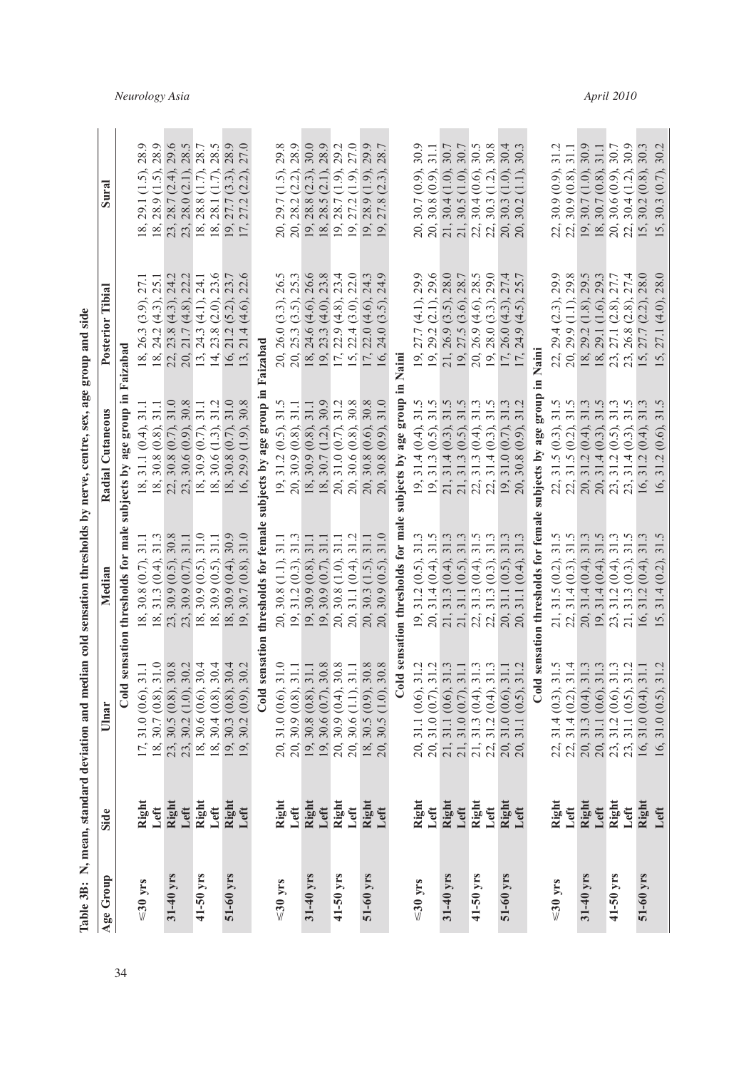|               |               | Table 3B: N, mean, standard deviation and m                                                                                    |                                                                                                                                                                                                                                                                                                                                                                                                                                                                                | edian cold sensation thresholds by nerve, centre, sex, age group and side                                                                                                      |                                                                                                                                                                                                                           |                                                                                                                                                                                                                                                                                                    |
|---------------|---------------|--------------------------------------------------------------------------------------------------------------------------------|--------------------------------------------------------------------------------------------------------------------------------------------------------------------------------------------------------------------------------------------------------------------------------------------------------------------------------------------------------------------------------------------------------------------------------------------------------------------------------|--------------------------------------------------------------------------------------------------------------------------------------------------------------------------------|---------------------------------------------------------------------------------------------------------------------------------------------------------------------------------------------------------------------------|----------------------------------------------------------------------------------------------------------------------------------------------------------------------------------------------------------------------------------------------------------------------------------------------------|
| Age Group     | Side          | Ulnar                                                                                                                          |                                                                                                                                                                                                                                                                                                                                                                                                                                                                                | Cutaneous<br>Radial                                                                                                                                                            | Tibial<br>Posterior                                                                                                                                                                                                       | Sural                                                                                                                                                                                                                                                                                              |
|               |               |                                                                                                                                | Cold sensation thresholds for male                                                                                                                                                                                                                                                                                                                                                                                                                                             | subjects by age group in                                                                                                                                                       | Faizabad                                                                                                                                                                                                                  |                                                                                                                                                                                                                                                                                                    |
| $\leq$ 30 yrs | Right         | 17,                                                                                                                            |                                                                                                                                                                                                                                                                                                                                                                                                                                                                                |                                                                                                                                                                                |                                                                                                                                                                                                                           |                                                                                                                                                                                                                                                                                                    |
|               | Left          | $31.1$<br>$31.0$<br>$31.0(0.6)$ ,<br>$30.7(0.8)$ ,<br>18,                                                                      | $31.1$<br>$31.3$<br>(0.7), (0.4)<br>$30.8$<br>$31.3$                                                                                                                                                                                                                                                                                                                                                                                                                           | $31.1$<br>31.1 (0.4), 3<br>.30.8 (0.8), 3<br>.30.8 (0.7), 3<br>.30.6 (0.9), 3<br>.30.6 (0.7), 3<br>.30.6 (1.3), 3                                                              | 27.1<br>$26.3$ (3.9),<br>$24.2$ (4.3),<br>$23.8$ (4.3),<br>$21.7$ (4.8),<br>$24.3$ (4.1),<br>$24.3$ (4.1),<br>$\frac{1}{2}$ $\frac{1}{2}$ $\frac{1}{2}$ $\frac{1}{2}$ $\frac{1}{2}$ $\frac{1}{2}$ $\frac{1}{2}$           | 28.9                                                                                                                                                                                                                                                                                               |
| 31-40 yrs     | Right         |                                                                                                                                | 30.8<br>$(0.5)$ ,<br>30.9                                                                                                                                                                                                                                                                                                                                                                                                                                                      | 31.0                                                                                                                                                                           | 24.2                                                                                                                                                                                                                      | 29.6                                                                                                                                                                                                                                                                                               |
|               | Left          | $30.2$<br>$30.4$<br>$30.4$<br>$\begin{array}{c} 23, \ 30.5 \ (0.8), \\ 23, \ 30.2 \ (1.0), \\ 18, \ 30.6 \ (0.6), \end{array}$ | $31.1$<br>(0.7), (0.5)<br>30.9                                                                                                                                                                                                                                                                                                                                                                                                                                                 | $30.8$<br>31.1                                                                                                                                                                 | 22.2                                                                                                                                                                                                                      |                                                                                                                                                                                                                                                                                                    |
| 41-50 yrs     | Right         |                                                                                                                                | 31.0                                                                                                                                                                                                                                                                                                                                                                                                                                                                           |                                                                                                                                                                                |                                                                                                                                                                                                                           |                                                                                                                                                                                                                                                                                                    |
|               | Left          | $30.4(0.8)$ ,<br>18,                                                                                                           | 31.1<br>$(0.5)$ ,<br>30.9                                                                                                                                                                                                                                                                                                                                                                                                                                                      | 31.2                                                                                                                                                                           | 23.6<br>$(2.0)$ , $(5.2)$ ,                                                                                                                                                                                               |                                                                                                                                                                                                                                                                                                    |
| 51-60 yrs     | Right         | $30.4$<br>$30.2$<br>$30.3(0.8)$ ,<br>19,                                                                                       | 30.9<br>$(0.4)$ , $(0.8)$ ,<br>30.9<br>$\begin{array}{l} \  \  \, \cong \frac{1}{2} \otimes \begin{array}{l} \circ \\ \circ \\ \circ \end{array} \otimes \begin{array}{l} \circ \\ \circ \\ \circ \end{array} \otimes \begin{array}{l} \circ \\ \circ \\ \circ \end{array} \otimes \begin{array}{l} \circ \\ \circ \\ \circ \end{array} \otimes \begin{array}{l} \circ \\ \circ \\ \circ \end{array} \otimes \begin{array}{l} \circ \\ \circ \\ \circ \end{array} \end{array}$ | $31.0$<br>$30.8$<br>$30.8(0.7)$ ,<br>$\infty$ $\infty$                                                                                                                         | 23.7<br>16, 21.2                                                                                                                                                                                                          | 28.7<br>28.7<br>28.9<br>27.0<br>(3.3), (2.2)<br>29.1 (1.5).<br>28.9 (1.5).<br>28.7 (2.4).<br>28.1 (1.7).<br>28.1 (1.7).<br>27.7 (3.3).<br>$\begin{array}{l} \  \  \, \cong \frac{1}{2} \otimes \mathbb{Z} \otimes \mathbb{Z} \otimes \mathbb{Z} \otimes \mathbb{Z} \otimes \mathbb{Z} \end{array}$ |
|               | Left          | 30.2(0.9)                                                                                                                      | 31.0<br>30.7                                                                                                                                                                                                                                                                                                                                                                                                                                                                   | (1.9),<br>29.9 <sub>1</sub>                                                                                                                                                    | (4.6)                                                                                                                                                                                                                     | 27.2                                                                                                                                                                                                                                                                                               |
|               |               | sensatio<br>Cold                                                                                                               | thresholds for female                                                                                                                                                                                                                                                                                                                                                                                                                                                          | subjects by age group in                                                                                                                                                       | Faizabad                                                                                                                                                                                                                  |                                                                                                                                                                                                                                                                                                    |
| $\leq$ 30 yrs | Right         | $31.0$<br>31.0(0.6)<br>20,                                                                                                     | 31.1                                                                                                                                                                                                                                                                                                                                                                                                                                                                           | $\frac{31.5}{31.1}$<br>$(31.2(0.5), 30.9(0.8), 30.9(0.8), 30.7(1.2), 30.7(1.2), 31.0(0.7), 31.0(0.7),$                                                                         | 26.5<br>20, 26.0 (3.3), 2<br>20, 25.3 (3.5), 2<br>18, 24.6 (4.6), 2<br>19, 22.3 (4.8), 2<br>17, 22.4 (3.0), 2<br>17, 22.0 (4.6), 2<br>17, 22.0 (4.6), 2                                                                   |                                                                                                                                                                                                                                                                                                    |
|               | Left          | 31.1                                                                                                                           | 31.3                                                                                                                                                                                                                                                                                                                                                                                                                                                                           |                                                                                                                                                                                |                                                                                                                                                                                                                           | 29.8                                                                                                                                                                                                                                                                                               |
| 31-40 yrs     | Right         | 31.1<br>$20, 30, 9 (0.8)$<br>$19, 30.8 (0.8)$<br>$19, 30.6 (0.7)$<br>$19, 30.6 (0.7)$<br>$20, 30.9 (0.4)$                      | 31.1<br>$(1.1),$<br>$(0.3),$<br>$(0.8),$<br>$(0.7),$<br>$30.8$ $31.2$ $30.9$ $30.9$                                                                                                                                                                                                                                                                                                                                                                                            | 31.1<br>0 0 0 0 0<br>0 0 0 0 0                                                                                                                                                 | 25.3<br>26.6<br>28.3<br>22.0                                                                                                                                                                                              | $\frac{30.0}{28.9}$<br>29.7 (1.5).<br>28.2 (2.2).<br>28.3 (2.3).<br>28.3 (2.1).<br>28.7 (1.9).<br>27.8 (2.3).<br>27.8 (2.3).                                                                                                                                                                       |
|               | Left          |                                                                                                                                | 31.1                                                                                                                                                                                                                                                                                                                                                                                                                                                                           |                                                                                                                                                                                |                                                                                                                                                                                                                           |                                                                                                                                                                                                                                                                                                    |
| 41-50 yrs     | Right         | $\frac{30.8}{30.8}$                                                                                                            | 31.1<br>$\overline{1.0}$<br>30.8                                                                                                                                                                                                                                                                                                                                                                                                                                               |                                                                                                                                                                                |                                                                                                                                                                                                                           |                                                                                                                                                                                                                                                                                                    |
|               | Left          | 20, 30.6 (1.1),                                                                                                                | 31.2<br>(0.4)<br>31.1<br>20,                                                                                                                                                                                                                                                                                                                                                                                                                                                   | $30.6(0.8)$ ,<br>20,                                                                                                                                                           |                                                                                                                                                                                                                           | 27.0                                                                                                                                                                                                                                                                                               |
| 51-60 yrs     | Right         | 30.8<br>$\frac{30.5(0.9)}{30.5(1.0)}$<br>$18,$                                                                                 | 31.1<br>$(1.5)$ ,<br>30.3<br>20,                                                                                                                                                                                                                                                                                                                                                                                                                                               | $30.288$ $31.2888$ $30.383$ $31.0$<br>$30.8(0.6),$<br>$30.8(0.9),$                                                                                                             | 24.3                                                                                                                                                                                                                      | 29.9<br>28.7                                                                                                                                                                                                                                                                                       |
|               | Left          | (1.0)<br>20,                                                                                                                   | 31.0<br>(0.5)<br>30.9                                                                                                                                                                                                                                                                                                                                                                                                                                                          |                                                                                                                                                                                |                                                                                                                                                                                                                           |                                                                                                                                                                                                                                                                                                    |
|               |               | Cold sensa                                                                                                                     | tion thresholds for mal                                                                                                                                                                                                                                                                                                                                                                                                                                                        | age group<br>bjects by                                                                                                                                                         | Naini                                                                                                                                                                                                                     |                                                                                                                                                                                                                                                                                                    |
| $\leq$ 30 yrs | Right         | 31.2<br>20,                                                                                                                    | $\overline{31}$ .<br>(0.5)<br>31.2                                                                                                                                                                                                                                                                                                                                                                                                                                             | Ċ.<br>$\overline{31}$<br>$(0.4)$ ,<br>31.4                                                                                                                                     | 29.9<br>$(4.1)$ ,                                                                                                                                                                                                         | 30.9<br>30.7                                                                                                                                                                                                                                                                                       |
|               | Left          | $\begin{array}{c} 31.1\ (0.6),\\ 31.0\ (0.7), \end{array}$                                                                     | 31.4                                                                                                                                                                                                                                                                                                                                                                                                                                                                           |                                                                                                                                                                                | 29.6                                                                                                                                                                                                                      | 31.1<br>(0.9), (0.9)<br>30.8                                                                                                                                                                                                                                                                       |
| $31-40$ yrs   | Right         | 31.1 $(0.6)$                                                                                                                   | 31.3                                                                                                                                                                                                                                                                                                                                                                                                                                                                           |                                                                                                                                                                                |                                                                                                                                                                                                                           | 30.7                                                                                                                                                                                                                                                                                               |
|               | Left          | $31.0(0.7)$ ,                                                                                                                  | 31.1                                                                                                                                                                                                                                                                                                                                                                                                                                                                           |                                                                                                                                                                                |                                                                                                                                                                                                                           | $30.7$<br>30.5<br>$(1.0)$ , $(1.0)$ ,                                                                                                                                                                                                                                                              |
| 41-50 yrs     | Right         | 31.3<br>31.1<br>31.3<br>31.3<br>31.3(0.4)                                                                                      | 3 3 3 3 3 3 3<br>3 3 3 3 4 5 3<br>31.3                                                                                                                                                                                                                                                                                                                                                                                                                                         | $\begin{array}{l} 31.3\ (0.5) \\ 31.4\ (0.3) \\ 31.3\ (0.5) \\ 31.3\ (0.4) \\ 31.4\ (0.3) \\ 31.4\ (0.3) \\ 31.5\ \end{array}$<br>n n n n n n n n n<br>D n n n n n n n         | 28.7<br>28.7<br>29.5<br>$(2.1)$<br>$(3.5)$<br>$(4.6)$<br>$(4.3)$<br>$(4.5)$<br>$\begin{array}{l} 19, 27.7 \\ 19, 29.2 \\ 19, 26.9 \\ 21, 26.9 \\ 19, 27.5 \\ 10, 26.9 \\ 19, 28.0 \\ 17, 26.0 \\ 17, 24.9 \\ \end{array}$ | $(0.6)$ , $(1.2)$ ,<br>$30.5$ $30.5$ $30.4$ $30.3$ $30.3$<br>ล็ลี่ส์สำคัญ                                                                                                                                                                                                                          |
|               | Left          | 31.2(0.4)                                                                                                                      | 31.3                                                                                                                                                                                                                                                                                                                                                                                                                                                                           |                                                                                                                                                                                |                                                                                                                                                                                                                           | 30.8                                                                                                                                                                                                                                                                                               |
| 51-60 yrs     | Right<br>Left | 31.1<br>20, 31.0 (0.6), 20, 31.1 (0.5),                                                                                        | 31.3<br>$(0.5)$ ,<br>31.1                                                                                                                                                                                                                                                                                                                                                                                                                                                      |                                                                                                                                                                                | 27.4<br>25.7                                                                                                                                                                                                              | $30.4$<br>30.3<br>(1.0)<br>30.3                                                                                                                                                                                                                                                                    |
|               |               | 31.2<br>(0.5)                                                                                                                  | 31.3<br>(0.4)                                                                                                                                                                                                                                                                                                                                                                                                                                                                  | (0.9)<br>30.8                                                                                                                                                                  |                                                                                                                                                                                                                           | 30.2                                                                                                                                                                                                                                                                                               |
|               |               | d sensatio<br>$\overline{c}$                                                                                                   | n thresholds for femal                                                                                                                                                                                                                                                                                                                                                                                                                                                         | subjects by age group                                                                                                                                                          | Naini                                                                                                                                                                                                                     |                                                                                                                                                                                                                                                                                                    |
| $\leq$ 30 yrs | Right         | $31.4(0.3)$ ,                                                                                                                  |                                                                                                                                                                                                                                                                                                                                                                                                                                                                                | $\frac{31}{31}$                                                                                                                                                                | 29.9<br>$(2.3)$ ,                                                                                                                                                                                                         | $(0.9)$ ,                                                                                                                                                                                                                                                                                          |
|               | Left          | $31.4$<br>$31.3$<br>$31.4(0.2)$ ,<br>22.00                                                                                     | $\frac{31.5}{31.3}$<br>(0.2), (0.3)<br>31.5                                                                                                                                                                                                                                                                                                                                                                                                                                    | $\ddot{u}$ $\ddot{u}$                                                                                                                                                          | 29.8<br>$(1.1)$ ,<br>29.4<br>29.9                                                                                                                                                                                         | 31.1<br>30.9 <sub>0</sub>                                                                                                                                                                                                                                                                          |
| $31-40$ yrs   | Right         | 31.3(0.4)                                                                                                                      | $(0.4)$ , $(0.4)$ , $(0.4)$ ,<br>31.4                                                                                                                                                                                                                                                                                                                                                                                                                                          | $\overline{31}$<br>$\begin{array}{l} .31.5(0.3),\ 31.5(0.2),\ 31.5(0.2),\ 31.2(0.4),\ 31.4(0.3),\ 31.4(0.5),\ 31.4(0.3),\ 31.4(0.3),\ \end{array}$<br><b>ជ័ ដូ ដូ ដូ</b> ដូ ដូ | 29.5<br>$(1.8)$ ,<br>29.2<br>29.1<br>27.1                                                                                                                                                                                 | 30.9<br>$(0.8)$<br>$(1.0)$<br>$(0.8)$<br>$(1.2)$<br>$(1.2)$<br>30.7<br>ี<br>ผู้ ผู้ อ <sup>ั</sup> ∞ั ∞ู่ ผู้ ผู้ พู้<br>ม                                                                                                                                                                         |
|               | Left          | 31.3                                                                                                                           | $31.4$<br>$31.2$                                                                                                                                                                                                                                                                                                                                                                                                                                                               |                                                                                                                                                                                | 29.3                                                                                                                                                                                                                      |                                                                                                                                                                                                                                                                                                    |
| 41-50 yrs     | Right         | $\begin{array}{c} 31.1 \ (0.6) \\ 31.2 \ (0.6), \\ 31.1 \ (0.5), \end{array}$<br>$\frac{1}{20}$                                | $31.5$<br>$31.3$                                                                                                                                                                                                                                                                                                                                                                                                                                                               | 31.5<br>31.3<br>31.5                                                                                                                                                           | $(1.6)$ , $(2.8)$ , $(2.8)$ ,                                                                                                                                                                                             | $\frac{31.1}{30.7}$<br>$30.7$<br>$30.6$<br>$30.4$                                                                                                                                                                                                                                                  |
|               | Left          | 31.2                                                                                                                           | $(0.3)$ ,<br>31.3                                                                                                                                                                                                                                                                                                                                                                                                                                                              |                                                                                                                                                                                | 27.4<br>26.8                                                                                                                                                                                                              |                                                                                                                                                                                                                                                                                                    |
| 51-60 yrs     | Right         | 31.1<br>16, 31.0 (0.4)                                                                                                         | 31.3<br>(0.4)<br>31.2                                                                                                                                                                                                                                                                                                                                                                                                                                                          | 31.3<br>$(0.4)$ ,<br>31.2<br>16,                                                                                                                                               | 28.0<br>$(2.2)$ ,<br>27.7                                                                                                                                                                                                 | 30.3<br>30.2                                                                                                                                                                                                                                                                                       |
|               | Left          | 31.0(0.5)<br>16,                                                                                                               | Š.<br>$\overline{31}$ .<br>(0.2)<br>31.4                                                                                                                                                                                                                                                                                                                                                                                                                                       | Ċ.<br>$\overline{31}$ .<br>(0.6)<br>31.2<br>16,                                                                                                                                | 28.0<br>(4.0),<br>27.1                                                                                                                                                                                                    | 30.2<br>$(0.7)$ ,<br>30.3                                                                                                                                                                                                                                                                          |

*Neurology Asia April 2010*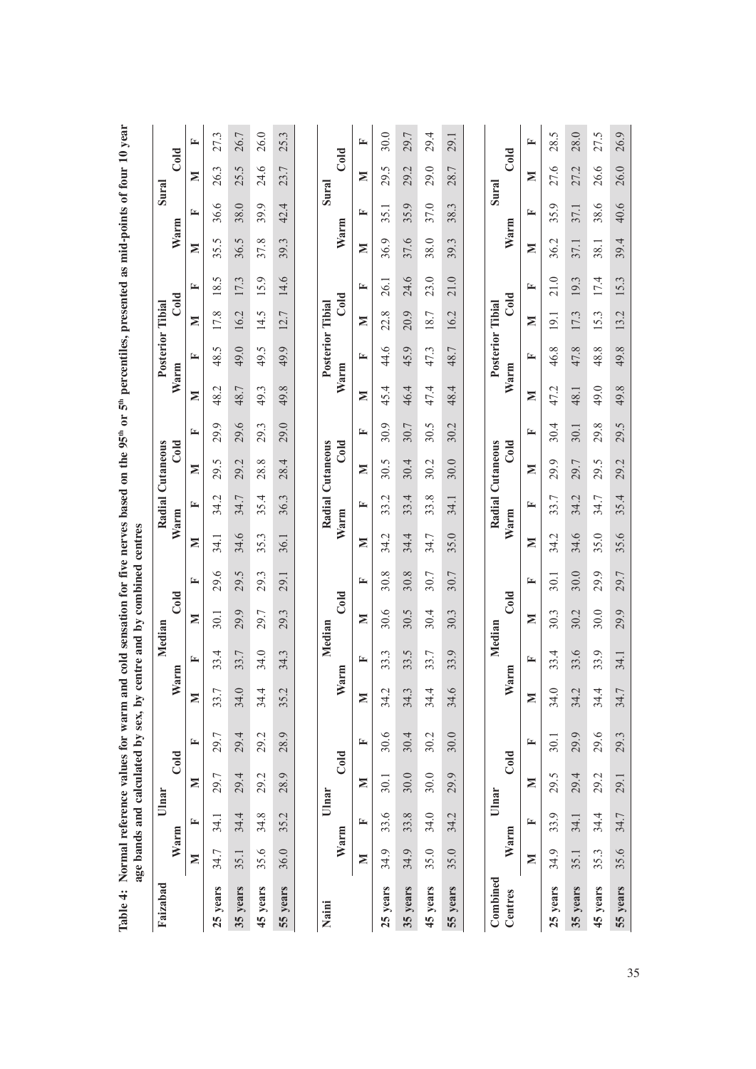| Table 4: Normal reference values for warm and cold sensation for five nerves based on the 95 <sup>th</sup> percentiles, presented as mid-points of four 10 year |      |                |       | age bands and calculated by sex, by |             |      | centre and by combined centres |      |            |                  |      |      |      |                         |                  |                              |      |       |                        |      |
|-----------------------------------------------------------------------------------------------------------------------------------------------------------------|------|----------------|-------|-------------------------------------|-------------|------|--------------------------------|------|------------|------------------|------|------|------|-------------------------|------------------|------------------------------|------|-------|------------------------|------|
| Faizabad                                                                                                                                                        |      |                | Ulnar |                                     |             |      | Median                         |      |            | Radial Cutaneous |      |      |      | Posterior Tibial        |                  |                              |      | Sural |                        |      |
|                                                                                                                                                                 | Warm |                |       | Cold                                | Warm        |      | Cold                           |      | Warm       |                  | Cold |      | Warm |                         | Co <sub>ld</sub> |                              | Warm |       | Cold                   |      |
|                                                                                                                                                                 | Σ    | 匞              | Σ     | 匞                                   | Σ           | 匞    | Σ                              | 匞    | Σ          | 匞                | z    | 匞    | Σ    | 匞                       | z                | 匞                            | Σ    | ≃     | Σ                      | 匞    |
| 25 years                                                                                                                                                        | 34.7 | 34.1           | 29.7  | 29.7                                | 33.         | 33.4 | 30.1                           | 29.6 | 34.1       | 34.2             | 29.5 | 29.9 | 48.2 | 48.5                    | 17.8             | 5<br>$\frac{8}{18}$          | 35.5 | 36.6  | 26.3                   | 27.3 |
| 35 years                                                                                                                                                        | 35.1 | 34.4           | 29.4  | 29.4                                | 34.         | 33.7 | 29.9                           | 29.5 | 34.6       | 34.7             | 29.2 | 29.6 | 48.7 | 49.0                    | 16.2             | 17.3                         | 36.5 | 38.0  | 25.5                   | 26.7 |
| 45 years                                                                                                                                                        | 35.6 | 34.8           | 29.2  | 29.2                                | 34.4        | 34.0 | 29.7                           | 29.3 | نى<br>35.  | 35.4             | 28.8 | 29.3 | 49.3 | 49.5                    | 14.5             | $\tilde{\mathcal{L}}$<br>15. | 37.8 | 39.9  | 24.6                   | 26.0 |
| 55 years                                                                                                                                                        | 36.0 | 35.2           | 28.9  | 28.9                                | 35.2        | 34.3 | 29.3                           | 29.1 | 36.1       | 36.3             | 28.4 | 29.0 | 49.8 | 49.9                    | 12.7             | 14.6                         | 39.3 | 42.4  | 23.7                   | 25.3 |
|                                                                                                                                                                 |      |                |       |                                     |             |      |                                |      |            |                  |      |      |      |                         |                  |                              |      |       |                        |      |
| Naini                                                                                                                                                           | Warm |                | Ulnar | Cold                                | Warm        |      | Cold<br>Median                 |      | Warm       | Radial Cutaneous | Cold |      | Warm | <b>Posterior Tibial</b> | Cold             |                              | Warm | Sural | Cold                   |      |
|                                                                                                                                                                 | Σ    | 匞              | Σ     | 匞                                   | Σ           | E,   | Σ                              | 匞    | Σ          | 匞                | ⋝    | 匞    | Σ    | 匞                       | Σ                | 匞                            | Σ    | 匞     | Σ                      | ≃    |
| 25 years                                                                                                                                                        | 34.9 | $\circ$<br>33. | 30.1  | 30.6                                | 34.2        | 33.3 | 30.6                           | 30.8 | Ń<br>र्ट्र | Ņ<br>33.         | 30.5 | 30.9 | 45.4 | 44.6                    | 22.8             | 26.1                         | 36.9 | 35.1  | $\ddot{\Omega}$<br>29. | 30.0 |
| 35 years                                                                                                                                                        | 34.9 | 33.8           | 30.0  | 30.4                                | 34.3        | 33.5 | 30.5                           | 30.8 | 4.<br>34.  | 33.4             | 30.4 | 30.7 | 46.4 | 45.9                    | 20.9             | 24.6                         | 37.6 | 35.9  | 29.2                   | 29.7 |
| 45 years                                                                                                                                                        | 35.0 | 34.0           | 30.0  | 30.2                                | 34.4        | 33.7 | 30.4                           | 30.7 | 34.7       | 33.8             | 30.2 | 30.5 | 47.4 | 47.3                    | 18.7             | 23.0                         | 38.0 | 37.0  | 29.0                   | 29.4 |
| 55 years                                                                                                                                                        | 35.0 | 34.2           | 29.9  | 30.0                                | S<br>34.0   | 33.9 | 30.3                           | 30.7 | 35.0       | 34.1             | 30.0 | 30.2 | 48.4 | 48.7                    | 16.2             | 21.0                         | 39.3 | 38.3  | 28.7                   | 29.1 |
|                                                                                                                                                                 |      |                |       |                                     |             |      |                                |      |            |                  |      |      |      |                         |                  |                              |      |       |                        |      |
| Combined<br>Centres                                                                                                                                             |      | Warm           | Ulnar | Cold                                | <b>Narm</b> |      | Cold<br>Median                 |      | Warm       | Radial Cutaneous | Cold |      | Warm | Posterior Tibial        | Cold             |                              | Warm | Sural | Cold                   |      |
|                                                                                                                                                                 | Σ    | 匞              | Σ     | 匞                                   | Σ           | ≃    | Σ                              | ⊑    | Σ          | 匞                | Σ    | 匞    | Σ    | 匞                       | Σ                | ≃                            | Σ    | ⋤     | Σ                      | 匞    |
| 25 years                                                                                                                                                        | 34.9 | 33.9           | 29.5  | 30.1                                | 34.0        | 33.4 | 30.3                           | 30.1 | Ņ<br>34.   | 33.7             | 29.9 | 30.4 | 47.2 | 46.8                    | 19.1             | 21.0                         | 36.2 | 35.9  | 27.6                   | 28.5 |
| 35 years                                                                                                                                                        | 35.1 | 34.1           | 29.4  | 29.9                                | 34.2        | 33.6 | 30.2                           | 30.0 | 34.6       | 34.2             | 29.7 | 30.1 | 48.1 | 47.8                    | 17.3             | 19.3                         | 37.1 | 37.1  | 27.2                   | 28.0 |
| 45 years                                                                                                                                                        | 35.3 | 34.4           | 29.2  | 29.6                                | 34.4        | 33.9 | 30.0                           | 29.9 | 35.0       | 34.7             | 29.5 | 29.8 | 49.0 | 48.8                    | 15.3             | 174                          | 38.1 | 38.6  | 26.6                   | 27.5 |
| 55 years                                                                                                                                                        | 35.6 | 34.7           | 29.1  | 29.3                                | 34.7        | 34.1 | 29.9                           | 29.7 | 35.6       | 35.4             | 29.2 | 29.5 | 49.8 | 49.8                    | 13.2             | 15.3                         | 39.4 | 40.6  | 26.0                   | 26.9 |

35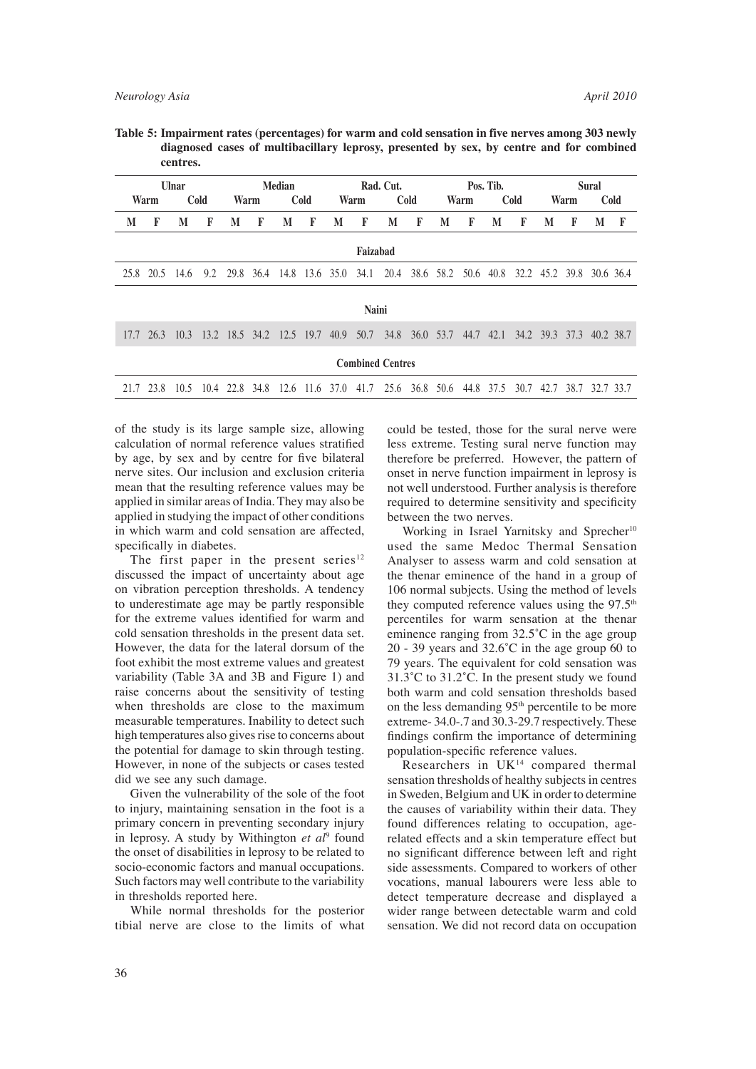**Table 5: Impairment rates (percentages) for warm and cold sensation in five nerves among 303 newly diagnosed cases of multibacillary leprosy, presented by sex, by centre and for combined centres.** 

|              |           | <b>Ulnar</b>                            |      |      |                | Median |             |           |                                                                                           | Rad. Cut. |             |                                              |      | Pos. Tib. |             |   |      | <b>Sural</b> |      |
|--------------|-----------|-----------------------------------------|------|------|----------------|--------|-------------|-----------|-------------------------------------------------------------------------------------------|-----------|-------------|----------------------------------------------|------|-----------|-------------|---|------|--------------|------|
|              | Warm      |                                         | Cold | Warm |                |        | <b>Cold</b> |           | Warm                                                                                      |           | <b>Cold</b> |                                              | Warm |           | <b>Cold</b> |   | Warm |              | Cold |
| M            | F         | M                                       | F    | M    | F              | M      | F           | M         | F                                                                                         | M         | F           | M                                            | F    | M         | F           | M | F    | M            | F    |
|              |           |                                         |      |      |                |        |             |           | Faizabad                                                                                  |           |             |                                              |      |           |             |   |      |              |      |
|              | 25.8 20.5 | -14.6                                   | 9.2  |      | 29.8 36.4 14.8 |        |             | 13.6 35.0 | 34.1                                                                                      | 20.4      |             | 38.6 58.2 50.6 40.8 32.2 45.2 39.8 30.6 36.4 |      |           |             |   |      |              |      |
| <b>Naini</b> |           |                                         |      |      |                |        |             |           |                                                                                           |           |             |                                              |      |           |             |   |      |              |      |
|              |           |                                         |      |      |                |        |             |           |                                                                                           |           |             |                                              |      |           |             |   |      |              |      |
| 17.7         |           | 26.3 10.3 13.2 18.5 34.2 12.5 19.7 40.9 |      |      |                |        |             |           | 50.7                                                                                      | 34.8      |             | 36.0 53.7 44.7 42.1 34.2 39.3 37.3 40.2 38.7 |      |           |             |   |      |              |      |
|              |           |                                         |      |      |                |        |             |           | <b>Combined Centres</b>                                                                   |           |             |                                              |      |           |             |   |      |              |      |
|              | 21.7 23.8 |                                         |      |      |                |        |             |           | 10.5 10.4 22.8 34.8 12.6 11.6 37.0 41.7 25.6 36.8 50.6 44.8 37.5 30.7 42.7 38.7 32.7 33.7 |           |             |                                              |      |           |             |   |      |              |      |
|              |           |                                         |      |      |                |        |             |           |                                                                                           |           |             |                                              |      |           |             |   |      |              |      |

of the study is its large sample size, allowing calculation of normal reference values stratified by age, by sex and by centre for five bilateral nerve sites. Our inclusion and exclusion criteria mean that the resulting reference values may be applied in similar areas of India. They may also be applied in studying the impact of other conditions in which warm and cold sensation are affected, specifically in diabetes.

The first paper in the present series $12$ discussed the impact of uncertainty about age on vibration perception thresholds. A tendency to underestimate age may be partly responsible for the extreme values identified for warm and cold sensation thresholds in the present data set. However, the data for the lateral dorsum of the foot exhibit the most extreme values and greatest variability (Table 3A and 3B and Figure 1) and raise concerns about the sensitivity of testing when thresholds are close to the maximum measurable temperatures. Inability to detect such high temperatures also gives rise to concerns about the potential for damage to skin through testing. However, in none of the subjects or cases tested did we see any such damage.

 Given the vulnerability of the sole of the foot to injury, maintaining sensation in the foot is a primary concern in preventing secondary injury in leprosy. A study by Withington *et al*<sup>9</sup> found the onset of disabilities in leprosy to be related to socio-economic factors and manual occupations. Such factors may well contribute to the variability in thresholds reported here.

 While normal thresholds for the posterior tibial nerve are close to the limits of what could be tested, those for the sural nerve were less extreme. Testing sural nerve function may therefore be preferred. However, the pattern of onset in nerve function impairment in leprosy is not well understood. Further analysis is therefore required to determine sensitivity and specificity between the two nerves.

Working in Israel Yarnitsky and Sprecher<sup>10</sup> used the same Medoc Thermal Sensation Analyser to assess warm and cold sensation at the thenar eminence of the hand in a group of 106 normal subjects. Using the method of levels they computed reference values using the  $97.5<sup>th</sup>$ percentiles for warm sensation at the thenar eminence ranging from 32.5˚C in the age group 20 - 39 years and  $32.6^{\circ}$ C in the age group 60 to 79 years. The equivalent for cold sensation was 31.3˚C to 31.2˚C. In the present study we found both warm and cold sensation thresholds based on the less demanding 95<sup>th</sup> percentile to be more extreme- 34.0-.7 and 30.3-29.7 respectively. These findings confirm the importance of determining population-specific reference values.

Researchers in  $UK<sup>14</sup>$  compared thermal sensation thresholds of healthy subjects in centres in Sweden, Belgium and UK in order to determine the causes of variability within their data. They found differences relating to occupation, agerelated effects and a skin temperature effect but no significant difference between left and right side assessments. Compared to workers of other vocations, manual labourers were less able to detect temperature decrease and displayed a wider range between detectable warm and cold sensation. We did not record data on occupation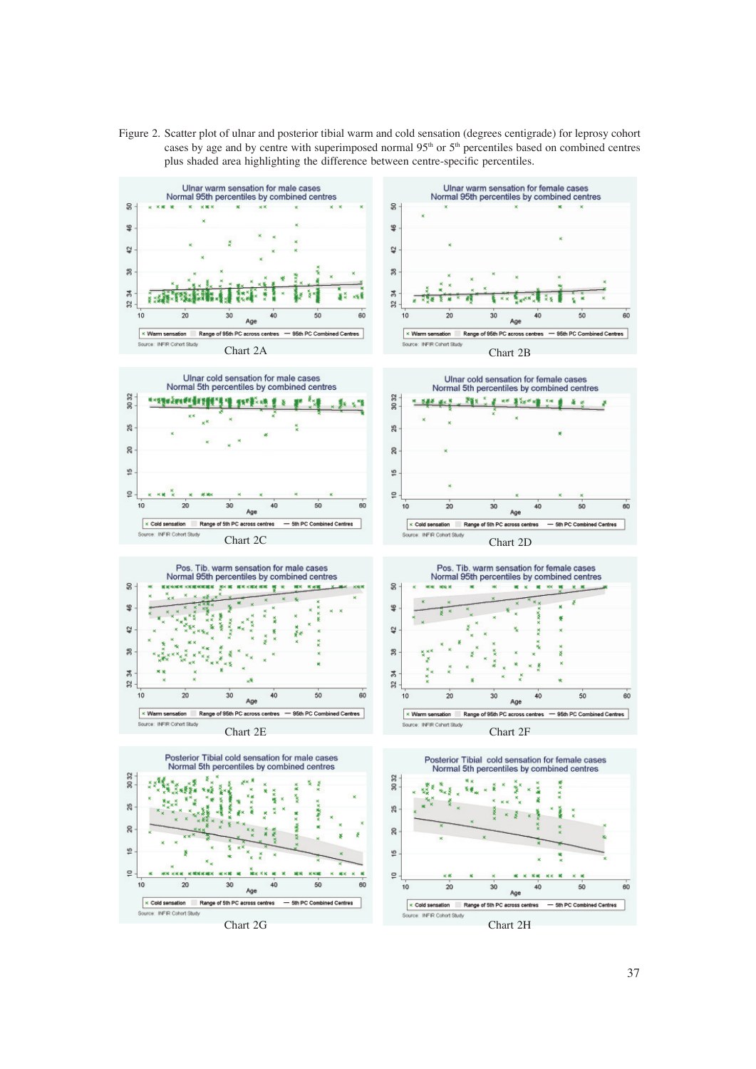Figure 2. Scatter plot of ulnar and posterior tibial warm and cold sensation (degrees centigrade) for leprosy cohort cases by age and by centre with superimposed normal 95<sup>th</sup> or 5<sup>th</sup> percentiles based on combined centres plus shaded area highlighting the difference between centre-specific percentiles.